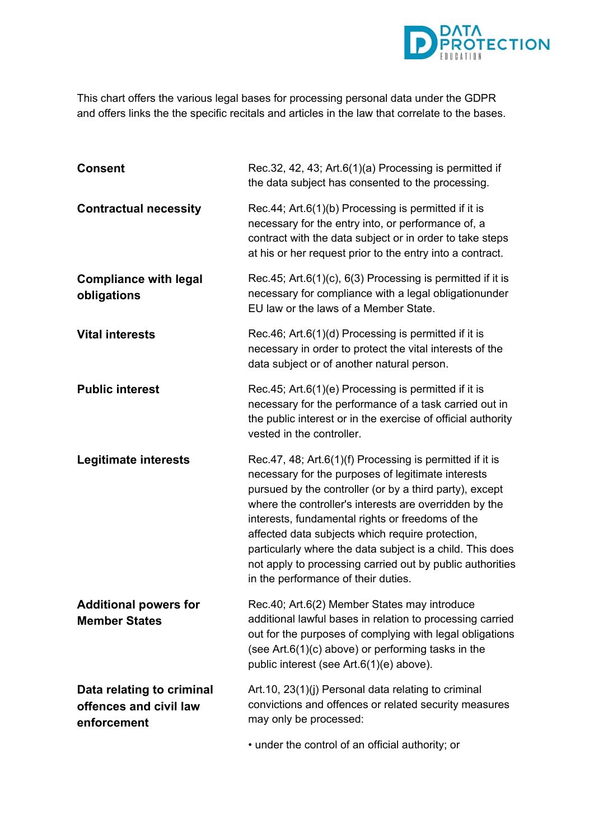

This chart offers the various legal bases for processing personal data under the GDPR and offers links the the specific recitals and articles in the law that correlate to the bases.

| <b>Consent</b>                                                     | Rec.32, 42, 43; Art.6(1)(a) Processing is permitted if<br>the data subject has consented to the processing.                                                                                                                                                                             |
|--------------------------------------------------------------------|-----------------------------------------------------------------------------------------------------------------------------------------------------------------------------------------------------------------------------------------------------------------------------------------|
| <b>Contractual necessity</b>                                       | Rec.44; Art.6(1)(b) Processing is permitted if it is<br>necessary for the entry into, or performance of, a<br>contract with the data subject or in order to take steps<br>at his or her request prior to the entry into a contract.                                                     |
| <b>Compliance with legal</b><br>obligations                        | Rec.45; Art.6(1)(c), 6(3) Processing is permitted if it is<br>necessary for compliance with a legal obligationunder<br>EU law or the laws of a Member State.                                                                                                                            |
| <b>Vital interests</b>                                             | Rec.46; Art.6(1)(d) Processing is permitted if it is<br>necessary in order to protect the vital interests of the<br>data subject or of another natural person.                                                                                                                          |
| <b>Public interest</b>                                             | Rec.45; Art.6(1)(e) Processing is permitted if it is<br>necessary for the performance of a task carried out in<br>the public interest or in the exercise of official authority<br>vested in the controller.                                                                             |
| <b>Legitimate interests</b>                                        | Rec.47, 48; Art.6(1)(f) Processing is permitted if it is<br>necessary for the purposes of legitimate interests<br>pursued by the controller (or by a third party), except<br>where the controller's interests are overridden by the<br>interests, fundamental rights or freedoms of the |
|                                                                    | affected data subjects which require protection,<br>particularly where the data subject is a child. This does<br>not apply to processing carried out by public authorities<br>in the performance of their duties.                                                                       |
| <b>Additional powers for</b><br><b>Member States</b>               | Rec.40; Art.6(2) Member States may introduce<br>additional lawful bases in relation to processing carried<br>out for the purposes of complying with legal obligations<br>(see Art.6(1) $(c)$ above) or performing tasks in the<br>public interest (see Art.6(1)(e) above).              |
| Data relating to criminal<br>offences and civil law<br>enforcement | Art.10, 23(1)(j) Personal data relating to criminal<br>convictions and offences or related security measures<br>may only be processed:                                                                                                                                                  |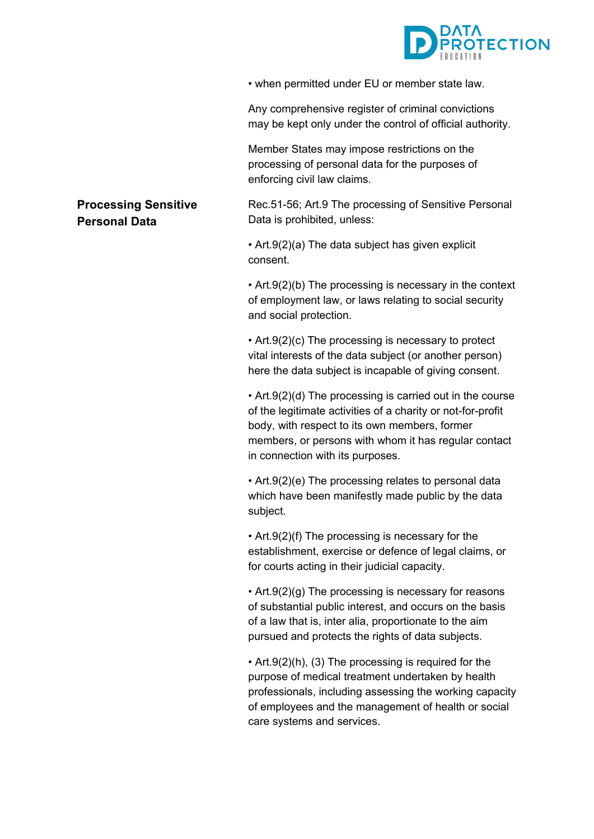

• when permitted under EU or member state law.

Any comprehensive register of criminal convictions may be kept only under the control of official authority.

Member States may impose restrictions on the processing of personal data for the purposes of enforcing civil law claims.

Rec.51-56; Art.9 The processing of Sensitive Personal Data is prohibited, unless:

• Art.9(2)(a) The data subject has given explicit consent.

• Art.9(2)(b) The processing is necessary in the context of employment law, or laws relating to social security and social protection.

• Art.9(2)(c) The processing is necessary to protect vital interests of the data subject (or another person) here the data subject is incapable of giving consent.

• Art.9(2)(d) The processing is carried out in the course of the legitimate activities of a charity or not-for-profit body, with respect to its own members, former members, or persons with whom it has regular contact in connection with its purposes.

• Art.9(2)(e) The processing relates to personal data which have been manifestly made public by the data subject.

• Art.9(2)(f) The processing is necessary for the establishment, exercise or defence of legal claims, or for courts acting in their judicial capacity.

• Art.9(2)(g) The processing is necessary for reasons of substantial public interest, and occurs on the basis of a law that is, inter alia, proportionate to the aim pursued and protects the rights of data subjects.

• Art.9(2)(h), (3) The processing is required for the purpose of medical treatment undertaken by health professionals, including assessing the working capacity of employees and the management of health or social care systems and services.

## **Processing Sensitive Personal Data**